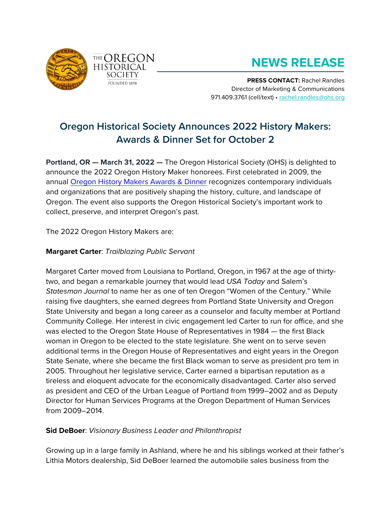



# **NEWS RELEASE**

**PRESS CONTACT:** Rachel Randles Director of Marketing & Communications 971.409.3761 (cell/text) • [rachel.randles@ohs.org](mailto:rachel.randles@ohs.org)

# **Oregon Historical Society Announces 2022 History Makers: Awards & Dinner Set for October 2**

**Portland, OR — March 31, 2022 —** The Oregon Historical Society (OHS) is delighted to announce the 2022 Oregon History Maker honorees. First celebrated in 2009, the annual [Oregon History Makers Awards & Dinner](https://www.ohs.org/support/history-makers.cfm) recognizes contemporary individuals and organizations that are positively shaping the history, culture, and landscape of Oregon. The event also supports the Oregon Historical Society's important work to collect, preserve, and interpret Oregon's past.

The 2022 Oregon History Makers are:

## **Margaret Carter**: *Trailblazing Public Servant*

Margaret Carter moved from Louisiana to Portland, Oregon, in 1967 at the age of thirtytwo, and began a remarkable journey that would lead *USA Today* and Salem's *Statesman Journal* to name her as one of ten Oregon "Women of the Century." While raising five daughters, she earned degrees from Portland State University and Oregon State University and began a long career as a counselor and faculty member at Portland Community College. Her interest in civic engagement led Carter to run for office, and she was elected to the Oregon State House of Representatives in 1984 — the first Black woman in Oregon to be elected to the state legislature. She went on to serve seven additional terms in the Oregon House of Representatives and eight years in the Oregon State Senate, where she became the first Black woman to serve as president pro tem in 2005. Throughout her legislative service, Carter earned a bipartisan reputation as a tireless and eloquent advocate for the economically disadvantaged. Carter also served as president and CEO of the Urban League of Portland from 1999–2002 and as Deputy Director for Human Services Programs at the Oregon Department of Human Services from 2009–2014.

# **Sid DeBoer**: *Visionary Business Leader and Philanthropist*

Growing up in a large family in Ashland, where he and his siblings worked at their father's Lithia Motors dealership, Sid DeBoer learned the automobile sales business from the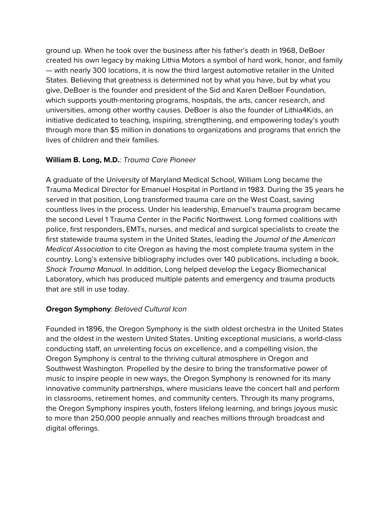ground up. When he took over the business after his father's death in 1968, DeBoer created his own legacy by making Lithia Motors a symbol of hard work, honor, and family — with nearly 300 locations, it is now the third largest automotive retailer in the United States. Believing that greatness is determined not by what you have, but by what you give, DeBoer is the founder and president of the Sid and Karen DeBoer Foundation, which supports youth-mentoring programs, hospitals, the arts, cancer research, and universities, among other worthy causes. DeBoer is also the founder of Lithia4Kids, an initiative dedicated to teaching, inspiring, strengthening, and empowering today's youth through more than \$5 million in donations to organizations and programs that enrich the lives of children and their families.

### **William B. Long, M.D.**: *Trauma Care Pioneer*

A graduate of the University of Maryland Medical School, William Long became the Trauma Medical Director for Emanuel Hospital in Portland in 1983. During the 35 years he served in that position, Long transformed trauma care on the West Coast, saving countless lives in the process. Under his leadership, Emanuel's trauma program became the second Level 1 Trauma Center in the Pacific Northwest. Long formed coalitions with police, first responders, EMTs, nurses, and medical and surgical specialists to create the first statewide trauma system in the United States, leading the *Journal of the American Medical Association* to cite Oregon as having the most complete trauma system in the country. Long's extensive bibliography includes over 140 publications, including a book, *Shock Trauma Manual*. In addition, Long helped develop the Legacy Biomechanical Laboratory, which has produced multiple patents and emergency and trauma products that are still in use today.

#### **Oregon Symphony**: *Beloved Cultural Icon*

Founded in 1896, the Oregon Symphony is the sixth oldest orchestra in the United States and the oldest in the western United States. Uniting exceptional musicians, a world-class conducting staff, an unrelenting focus on excellence, and a compelling vision, the Oregon Symphony is central to the thriving cultural atmosphere in Oregon and Southwest Washington. Propelled by the desire to bring the transformative power of music to inspire people in new ways, the Oregon Symphony is renowned for its many innovative community partnerships, where musicians leave the concert hall and perform in classrooms, retirement homes, and community centers. Through its many programs, the Oregon Symphony inspires youth, fosters lifelong learning, and brings joyous music to more than 250,000 people annually and reaches millions through broadcast and digital offerings.